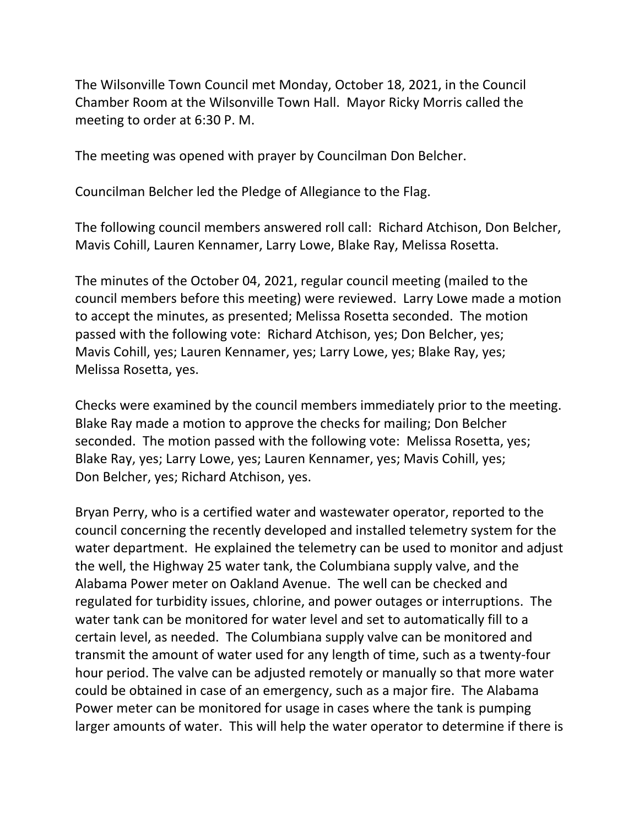The Wilsonville Town Council met Monday, October 18, 2021, in the Council Chamber Room at the Wilsonville Town Hall. Mayor Ricky Morris called the meeting to order at 6:30 P. M.

The meeting was opened with prayer by Councilman Don Belcher.

Councilman Belcher led the Pledge of Allegiance to the Flag.

The following council members answered roll call: Richard Atchison, Don Belcher, Mavis Cohill, Lauren Kennamer, Larry Lowe, Blake Ray, Melissa Rosetta.

The minutes of the October 04, 2021, regular council meeting (mailed to the council members before this meeting) were reviewed. Larry Lowe made a motion to accept the minutes, as presented; Melissa Rosetta seconded. The motion passed with the following vote: Richard Atchison, yes; Don Belcher, yes; Mavis Cohill, yes; Lauren Kennamer, yes; Larry Lowe, yes; Blake Ray, yes; Melissa Rosetta, yes.

Checks were examined by the council members immediately prior to the meeting. Blake Ray made a motion to approve the checks for mailing; Don Belcher seconded. The motion passed with the following vote: Melissa Rosetta, yes; Blake Ray, yes; Larry Lowe, yes; Lauren Kennamer, yes; Mavis Cohill, yes; Don Belcher, yes; Richard Atchison, yes.

Bryan Perry, who is a certified water and wastewater operator, reported to the council concerning the recently developed and installed telemetry system for the water department. He explained the telemetry can be used to monitor and adjust the well, the Highway 25 water tank, the Columbiana supply valve, and the Alabama Power meter on Oakland Avenue. The well can be checked and regulated for turbidity issues, chlorine, and power outages or interruptions. The water tank can be monitored for water level and set to automatically fill to a certain level, as needed. The Columbiana supply valve can be monitored and transmit the amount of water used for any length of time, such as a twenty-four hour period. The valve can be adjusted remotely or manually so that more water could be obtained in case of an emergency, such as a major fire. The Alabama Power meter can be monitored for usage in cases where the tank is pumping larger amounts of water. This will help the water operator to determine if there is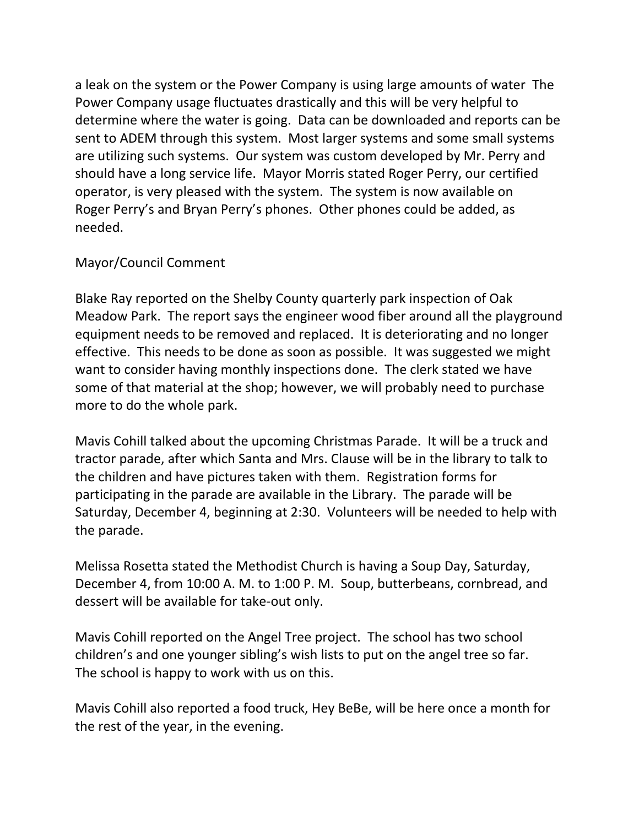a leak on the system or the Power Company is using large amounts of water The Power Company usage fluctuates drastically and this will be very helpful to determine where the water is going. Data can be downloaded and reports can be sent to ADEM through this system. Most larger systems and some small systems are utilizing such systems. Our system was custom developed by Mr. Perry and should have a long service life. Mayor Morris stated Roger Perry, our certified operator, is very pleased with the system. The system is now available on Roger Perry's and Bryan Perry's phones. Other phones could be added, as needed.

## Mayor/Council Comment

Blake Ray reported on the Shelby County quarterly park inspection of Oak Meadow Park. The report says the engineer wood fiber around all the playground equipment needs to be removed and replaced. It is deteriorating and no longer effective. This needs to be done as soon as possible. It was suggested we might want to consider having monthly inspections done. The clerk stated we have some of that material at the shop; however, we will probably need to purchase more to do the whole park.

Mavis Cohill talked about the upcoming Christmas Parade. It will be a truck and tractor parade, after which Santa and Mrs. Clause will be in the library to talk to the children and have pictures taken with them. Registration forms for participating in the parade are available in the Library. The parade will be Saturday, December 4, beginning at 2:30. Volunteers will be needed to help with the parade.

Melissa Rosetta stated the Methodist Church is having a Soup Day, Saturday, December 4, from 10:00 A. M. to 1:00 P. M. Soup, butterbeans, cornbread, and dessert will be available for take-out only.

Mavis Cohill reported on the Angel Tree project. The school has two school children's and one younger sibling's wish lists to put on the angel tree so far. The school is happy to work with us on this.

Mavis Cohill also reported a food truck, Hey BeBe, will be here once a month for the rest of the year, in the evening.